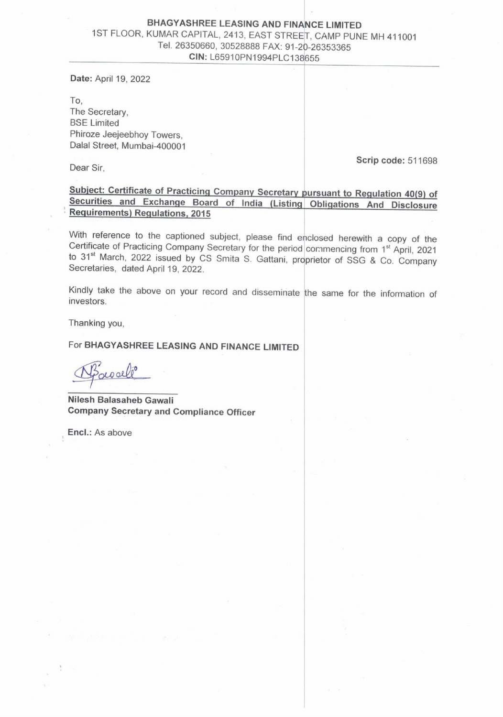## BHAGYASHREE LEASING AND FINANCE LIMITED<br>1ST FLOOR, KUMAR CAPITAL, 2413, EAST STREET, CAMP PUNE MH 411001<br>Tel. 26350660, 30528888 FAX: 91-20-26353365 CIN: L65910PN1994PLC138655

Date: April 19, 2022

To, The Secretary, BSE Limited Phiroze Jeejeebhoy Towers, Dalal Street, Mumbai-400001

Scrip code: 511698 Dear Sir,

Subject: Certificate of Practicing Company Secretary pursuant to Regulation 40(9) of Securities and Exchange Board of India (Listing Obligations And\_ Disclosure Requirements) Regulations, <sup>2015</sup>

With reference to the captioned subject, please find enclosed herewith a copy of the Certificate of Practicing Company Secretary for the period commencing from 1<sup>st</sup> April, 2021 to 31<sup>st</sup> March, 2022 issued by CS Smita S.

Kindly take the above on your record and disseminate the same for the information of investors.<br>Thanking you,<br>For BHAGYASHREE LEASING AND FINANCE LIMITED<br> $\sqrt{\frac{\hat{B}^2}{2}}$ 

Thanking you,

For BHAGYASHREE LEASING AND FINANCE LIMITED

! .

Nilesh Balasaheb Gawali Company Secretary and Compliance Officer

Encl.: As above